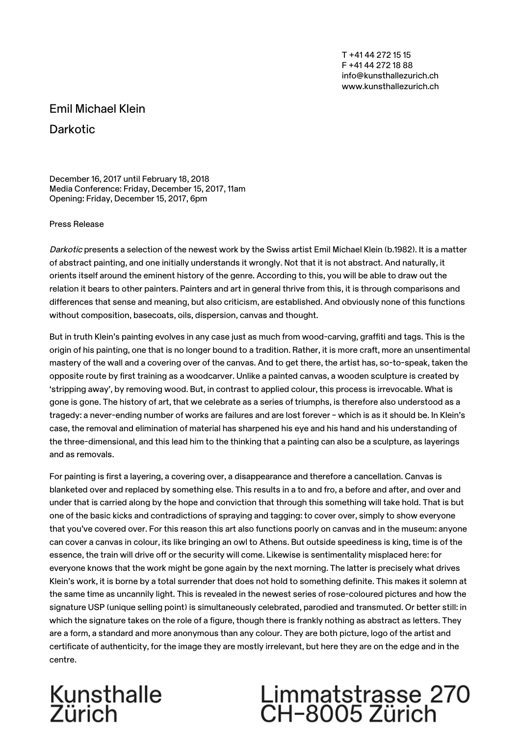T +41 44 272 15 15 F +41 44 272 18 88 info@kunsthallezurich.ch www.kunsthallezurich.ch

### Emil Michael Klein

**Darkotic** 

December 16, 2017 until February 18, 2018 Media Conference: Friday, December 15, 2017, 11am Opening: Friday, December 15, 2017, 6pm

#### Press Release

Darkotic presents a selection of the newest work by the Swiss artist Emil Michael Klein (b.1982). It is a matter of abstract painting, and one initially understands it wrongly. Not that it is not abstract. And naturally, it orients itself around the eminent history of the genre. According to this, you will be able to draw out the relation it bears to other painters. Painters and art in general thrive from this, it is through comparisons and differences that sense and meaning, but also criticism, are established. And obviously none of this functions without composition, basecoats, oils, dispersion, canvas and thought.

But in truth Klein's painting evolves in any case just as much from wood-carving, graffiti and tags. This is the origin of his painting, one that is no longer bound to a tradition. Rather, it is more craft, more an unsentimental mastery of the wall and a covering over of the canvas. And to get there, the artist has, so-to-speak, taken the opposite route by first training as a woodcarver. Unlike a painted canvas, a wooden sculpture is created by 'stripping away', by removing wood. But, in contrast to applied colour, this process is irrevocable. What is gone is gone. The history of art, that we celebrate as a series of triumphs, is therefore also understood as a tragedy: a never-ending number of works are failures and are lost forever – which is as it should be. In Klein's case, the removal and elimination of material has sharpened his eye and his hand and his understanding of the three-dimensional, and this lead him to the thinking that a painting can also be a sculpture, as layerings and as removals.

For painting is first a layering, a covering over, a disappearance and therefore a cancellation. Canvas is blanketed over and replaced by something else. This results in a to and fro, a before and after, and over and under that is carried along by the hope and conviction that through this something will take hold. That is but one of the basic kicks and contradictions of spraying and tagging: to cover over, simply to show everyone that you've covered over. For this reason this art also functions poorly on canvas and in the museum: anyone can cover a canvas in colour, its like bringing an owl to Athens. But outside speediness is king, time is of the essence, the train will drive off or the security will come. Likewise is sentimentality misplaced here: for everyone knows that the work might be gone again by the next morning. The latter is precisely what drives Klein's work, it is borne by a total surrender that does not hold to something definite. This makes it solemn at the same time as uncannily light. This is revealed in the newest series of rose-coloured pictures and how the signature USP (unique selling point) is simultaneously celebrated, parodied and transmuted. Or better still: in which the signature takes on the role of a figure, though there is frankly nothing as abstract as letters. They are a form, a standard and more anonymous than any colour. They are both picture, logo of the artist and certificate of authenticity, for the image they are mostly irrelevant, but here they are on the edge and in the centre.

## Kunsthalle<br>Zürich

# Limmatstrasse 270<br>CH-8005 Zürich